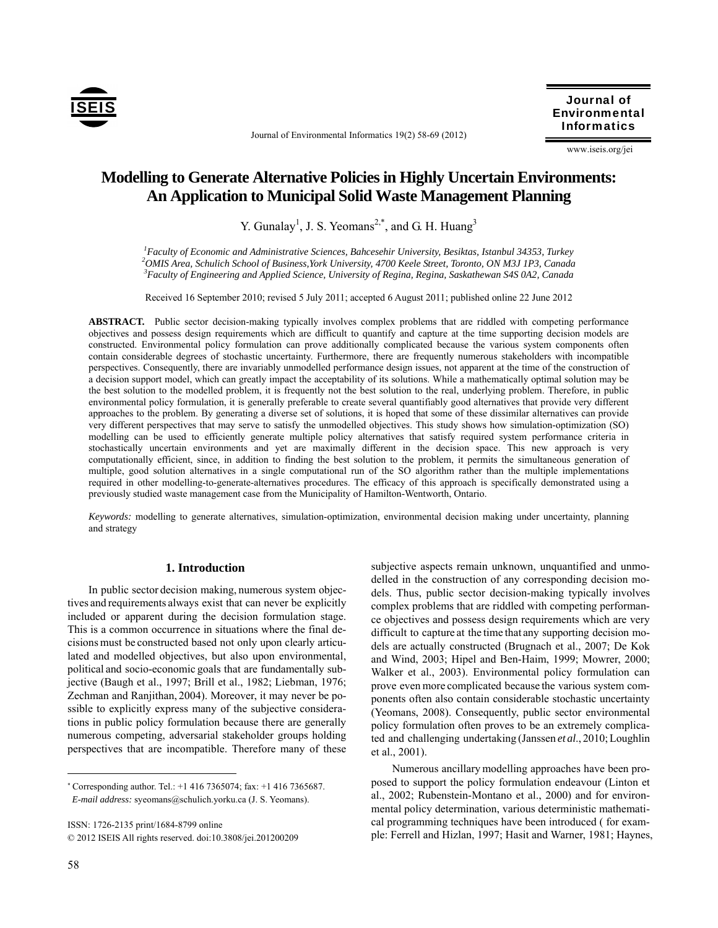

Journal of Environmental Informatics 19(2) 58-69 (2012)

Journal of Environmental **Informatics** 

www.iseis.org/jei

# **Modelling to Generate Alternative Policies in Highly Uncertain Environments: An Application to Municipal Solid Waste Management Planning**

Y. Gunalay<sup>1</sup>, J. S. Yeomans<sup>2,\*</sup>, and G. H. Huang<sup>3</sup>

<sup>1</sup> Faculty of Economic and Administrative Sciences, Bahcesehir University, Besiktas, Istanbul 34353, Turkey <sup>2</sup><br><sup>2</sup>OMIS Ange, Sehuliah Sehool of Businese Verk University, 4700 Keele Street, Terento, ON M21 UP3, Canada <sup>2</sup> OMIS Area, Schulich School of Business, York University, 4700 Keele Street, Toronto, ON M3J 1P3, Canada *Faculty of Engineering and Applied Science, University of Regina, Regina, Saskathewan S4S 0A2, Canada* 

Received 16 September 2010; revised 5 July 2011; accepted 6 August 2011; published online 22 June 2012

**ABSTRACT.** Public sector decision-making typically involves complex problems that are riddled with competing performance objectives and possess design requirements which are difficult to quantify and capture at the time supporting decision models are constructed. Environmental policy formulation can prove additionally complicated because the various system components often contain considerable degrees of stochastic uncertainty. Furthermore, there are frequently numerous stakeholders with incompatible perspectives. Consequently, there are invariably unmodelled performance design issues, not apparent at the time of the construction of a decision support model, which can greatly impact the acceptability of its solutions. While a mathematically optimal solution may be the best solution to the modelled problem, it is frequently not the best solution to the real, underlying problem. Therefore, in public environmental policy formulation, it is generally preferable to create several quantifiably good alternatives that provide very different approaches to the problem. By generating a diverse set of solutions, it is hoped that some of these dissimilar alternatives can provide very different perspectives that may serve to satisfy the unmodelled objectives. This study shows how simulation-optimization (SO) modelling can be used to efficiently generate multiple policy alternatives that satisfy required system performance criteria in stochastically uncertain environments and yet are maximally different in the decision space. This new approach is very computationally efficient, since, in addition to finding the best solution to the problem, it permits the simultaneous generation of multiple, good solution alternatives in a single computational run of the SO algorithm rather than the multiple implementations required in other modelling-to-generate-alternatives procedures. The efficacy of this approach is specifically demonstrated using a previously studied waste management case from the Municipality of Hamilton-Wentworth, Ontario.

*Keywords:* modelling to generate alternatives, simulation-optimization, environmental decision making under uncertainty, planning and strategy

#### **1. Introduction**

In public sector decision making, numerous system objectives and requirements always exist that can never be explicitly included or apparent during the decision formulation stage. This is a common occurrence in situations where the final decisions must be constructed based not only upon clearly articulated and modelled objectives, but also upon environmental, political and socio-economic goals that are fundamentally subjective (Baugh et al., 1997; Brill et al., 1982; Liebman, 1976; Zechman and Ranjithan, 2004). Moreover, it may never be possible to explicitly express many of the subjective considerations in public policy formulation because there are generally numerous competing, adversarial stakeholder groups holding perspectives that are incompatible. Therefore many of these

ISSN: 1726-2135 print/1684-8799 online

© 2012 ISEIS All rights reserved. doi:10.3808/jei.201200209

 $\overline{a}$ 

subjective aspects remain unknown, unquantified and unmodelled in the construction of any corresponding decision models. Thus, public sector decision-making typically involves complex problems that are riddled with competing performance objectives and possess design requirements which are very difficult to capture at the time that any supporting decision models are actually constructed (Brugnach et al., 2007; De Kok and Wind, 2003; Hipel and Ben-Haim, 1999; Mowrer, 2000; Walker et al., 2003). Environmental policy formulation can prove even more complicated because the various system components often also contain considerable stochastic uncertainty (Yeomans, 2008). Consequently, public sector environmental policy formulation often proves to be an extremely complicated and challenging undertaking (Janssen *et al*., 2010;Loughlin et al., 2001).

Numerous ancillary modelling approaches have been proposed to support the policy formulation endeavour (Linton et al., 2002; Rubenstein-Montano et al., 2000) and for environmental policy determination, various deterministic mathematical programming techniques have been introduced ( for example: Ferrell and Hizlan, 1997; Hasit and Warner, 1981; Haynes,

<sup>\*</sup> Corresponding author. Tel.: +1 416 7365074; fax: +1 416 7365687. *E-mail address:* syeomans@schulich.yorku.ca (J. S. Yeomans).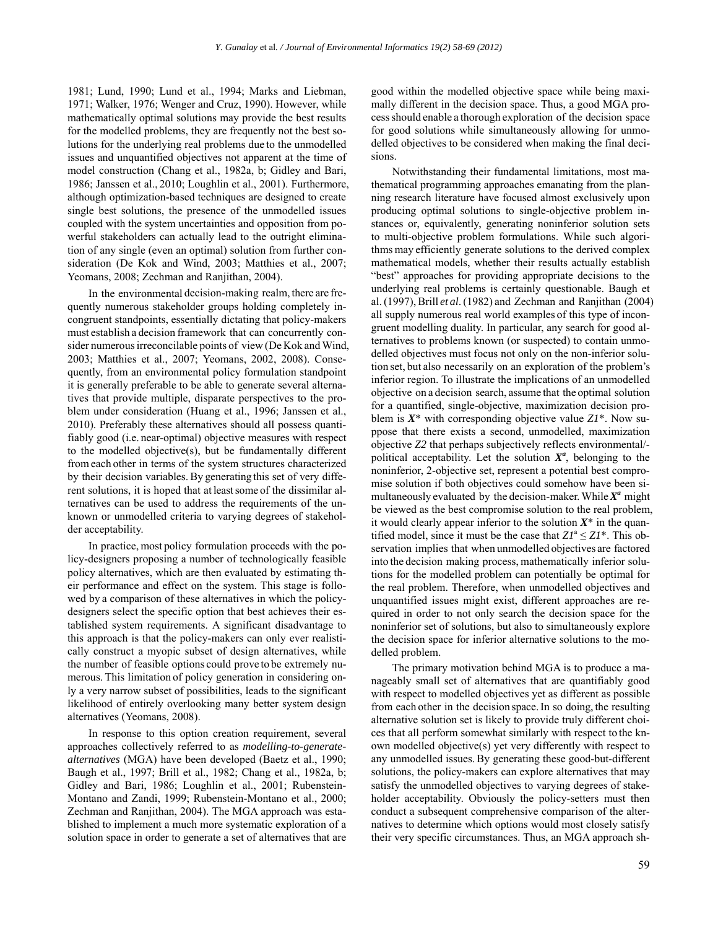1981; Lund, 1990; Lund et al., 1994; Marks and Liebman, 1971; Walker, 1976; Wenger and Cruz, 1990). However, while mathematically optimal solutions may provide the best results for the modelled problems, they are frequently not the best solutions for the underlying real problems due to the unmodelled issues and unquantified objectives not apparent at the time of model construction (Chang et al., 1982a, b; Gidley and Bari, 1986; Janssen et al., 2010; Loughlin et al., 2001). Furthermore, although optimization-based techniques are designed to create single best solutions, the presence of the unmodelled issues coupled with the system uncertainties and opposition from powerful stakeholders can actually lead to the outright elimination of any single (even an optimal) solution from further consideration (De Kok and Wind, 2003; Matthies et al., 2007; Yeomans, 2008; Zechman and Ranjithan, 2004).

In the environmental decision-making realm, there are frequently numerous stakeholder groups holding completely incongruent standpoints, essentially dictating that policy-makers must establish a decision framework that can concurrently consider numerousirreconcilable points of view (De Kok and Wind, 2003; Matthies et al., 2007; Yeomans, 2002, 2008). Consequently, from an environmental policy formulation standpoint it is generally preferable to be able to generate several alternatives that provide multiple, disparate perspectives to the problem under consideration (Huang et al., 1996; Janssen et al., 2010). Preferably these alternatives should all possess quantifiably good (i.e. near-optimal) objective measures with respect to the modelled objective(s), but be fundamentally different fromeach other in terms of the system structures characterized by their decision variables.By generating this set of very different solutions, it is hoped that at leastsome of the dissimilar alternatives can be used to address the requirements of the unknown or unmodelled criteria to varying degrees of stakeholder acceptability.

In practice, most policy formulation proceeds with the policy-designers proposing a number of technologically feasible policy alternatives, which are then evaluated by estimating their performance and effect on the system. This stage is followed by a comparison of these alternatives in which the policydesigners select the specific option that best achieves their established system requirements. A significant disadvantage to this approach is that the policy-makers can only ever realistically construct a myopic subset of design alternatives, while the number of feasible options could prove to be extremely numerous. This limitation of policy generation in considering only a very narrow subset of possibilities, leads to the significant likelihood of entirely overlooking many better system design alternatives (Yeomans, 2008).

In response to this option creation requirement, several approaches collectively referred to as *modelling-to-generatealternatives* (MGA) have been developed (Baetz et al., 1990; Baugh et al., 1997; Brill et al., 1982; Chang et al., 1982a, b; Gidley and Bari, 1986; Loughlin et al., 2001; Rubenstein-Montano and Zandi, 1999; Rubenstein-Montano et al., 2000; Zechman and Ranjithan, 2004). The MGA approach was established to implement a much more systematic exploration of a solution space in order to generate a set of alternatives that are

good within the modelled objective space while being maximally different in the decision space. Thus, a good MGA processshould enable a thorough exploration of the decision space for good solutions while simultaneously allowing for unmodelled objectives to be considered when making the final decisions.

Notwithstanding their fundamental limitations, most mathematical programming approaches emanating from the planning research literature have focused almost exclusively upon producing optimal solutions to single-objective problem instances or, equivalently, generating noninferior solution sets to multi-objective problem formulations. While such algorithms may efficiently generate solutions to the derived complex mathematical models, whether their results actually establish "best" approaches for providing appropriate decisions to the underlying real problems is certainly questionable. Baugh et al.(1997),Brill *et al*.(1982) and Zechman and Ranjithan (2004) all supply numerous real world examples of this type of incongruent modelling duality. In particular, any search for good alternatives to problems known (or suspected) to contain unmodelled objectives must focus not only on the non-inferior solution set, but also necessarily on an exploration of the problem's inferior region. To illustrate the implications of an unmodelled objective on a decision search, assume that the optimal solution for a quantified, single-objective, maximization decision problem is *X*\* with corresponding objective value *Z1*\*. Now suppose that there exists a second, unmodelled, maximization objective *Z2* that perhaps subjectively reflects environmental/ political acceptability. Let the solution  $X^a$ , belonging to the noninferior, 2-objective set, represent a potential best compromise solution if both objectives could somehow have been simultaneously evaluated by the decision-maker. While  $X^a$  might be viewed as the best compromise solution to the real problem, it would clearly appear inferior to the solution  $X^*$  in the quantified model, since it must be the case that  $ZI^a \leq ZI^*$ . This observation implies that when unmodelled objectives are factored into the decision making process, mathematically inferior solutions for the modelled problem can potentially be optimal for the real problem. Therefore, when unmodelled objectives and unquantified issues might exist, different approaches are required in order to not only search the decision space for the noninferior set of solutions, but also to simultaneously explore the decision space for inferior alternative solutions to the modelled problem.

The primary motivation behind MGA is to produce a manageably small set of alternatives that are quantifiably good with respect to modelled objectives yet as different as possible from each other in the decision space.In so doing, the resulting alternative solution set is likely to provide truly different choices that all perform somewhat similarly with respect to the known modelled objective(s) yet very differently with respect to any unmodelled issues. By generating these good-but-different solutions, the policy-makers can explore alternatives that may satisfy the unmodelled objectives to varying degrees of stakeholder acceptability. Obviously the policy-setters must then conduct a subsequent comprehensive comparison of the alternatives to determine which options would most closely satisfy their very specific circumstances. Thus, an MGA approach sh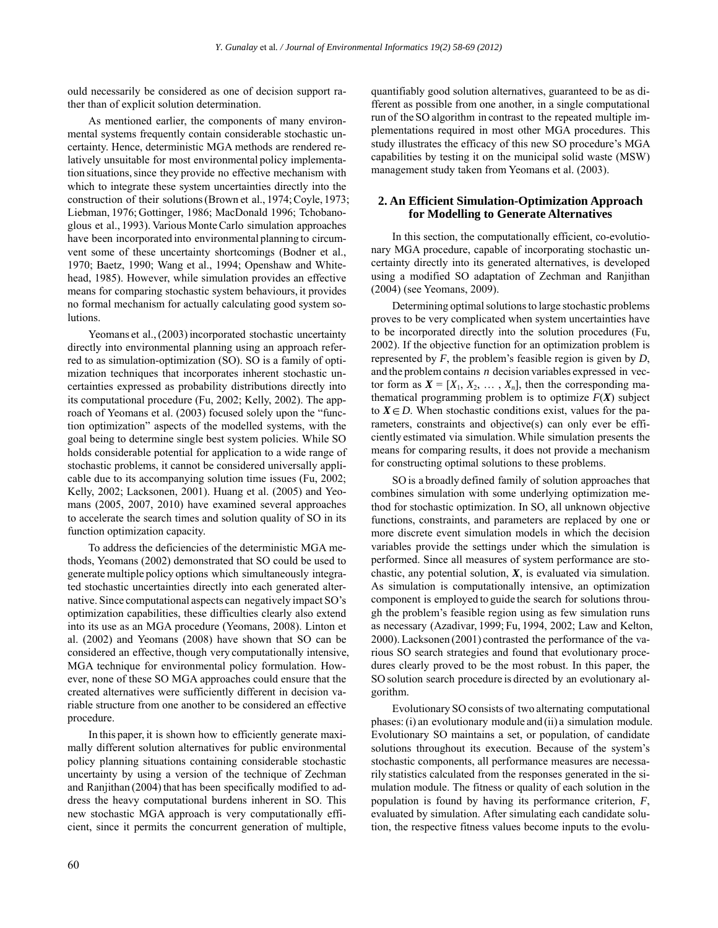ould necessarily be considered as one of decision support rather than of explicit solution determination.

As mentioned earlier, the components of many environmental systems frequently contain considerable stochastic uncertainty. Hence, deterministic MGA methods are rendered relatively unsuitable for most environmental policy implementation situations, since they provide no effective mechanism with which to integrate these system uncertainties directly into the construction of their solutions (Brown et al., 1974; Coyle, 1973; Liebman, 1976; Gottinger, 1986; MacDonald 1996; Tchobanoglous et al., 1993). Various MonteCarlo simulation approaches have been incorporated into environmental planning to circumvent some of these uncertainty shortcomings (Bodner et al., 1970; Baetz, 1990; Wang et al., 1994; Openshaw and Whitehead, 1985). However, while simulation provides an effective means for comparing stochastic system behaviours, it provides no formal mechanism for actually calculating good system solutions.

Yeomans et al., (2003) incorporated stochastic uncertainty directly into environmental planning using an approach referred to as simulation-optimization (SO). SO is a family of optimization techniques that incorporates inherent stochastic uncertainties expressed as probability distributions directly into its computational procedure (Fu, 2002; Kelly, 2002). The approach of Yeomans et al. (2003) focused solely upon the "function optimization" aspects of the modelled systems, with the goal being to determine single best system policies. While SO holds considerable potential for application to a wide range of stochastic problems, it cannot be considered universally applicable due to its accompanying solution time issues (Fu, 2002; Kelly, 2002; Lacksonen, 2001). Huang et al. (2005) and Yeomans (2005, 2007, 2010) have examined several approaches to accelerate the search times and solution quality of SO in its function optimization capacity.

To address the deficiencies of the deterministic MGA methods, Yeomans (2002) demonstrated that SO could be used to generate multiple policy options which simultaneously integrated stochastic uncertainties directly into each generated alternative. Since computational aspects can negatively impact SO's optimization capabilities, these difficulties clearly also extend into its use as an MGA procedure (Yeomans, 2008). Linton et al. (2002) and Yeomans (2008) have shown that SO can be considered an effective, though very computationally intensive, MGA technique for environmental policy formulation. However, none of these SO MGA approaches could ensure that the created alternatives were sufficiently different in decision variable structure from one another to be considered an effective procedure.

In this paper, it is shown how to efficiently generate maximally different solution alternatives for public environmental policy planning situations containing considerable stochastic uncertainty by using a version of the technique of Zechman and Ranjithan (2004) that has been specifically modified to address the heavy computational burdens inherent in SO. This new stochastic MGA approach is very computationally efficient, since it permits the concurrent generation of multiple, quantifiably good solution alternatives, guaranteed to be as different as possible from one another, in a single computational run of the SO algorithm in contrast to the repeated multiple implementations required in most other MGA procedures. This study illustrates the efficacy of this new SO procedure's MGA capabilities by testing it on the municipal solid waste (MSW) management study taken from Yeomans et al. (2003).

# **2. An Efficient Simulation-Optimization Approach for Modelling to Generate Alternatives**

In this section, the computationally efficient, co-evolutionary MGA procedure, capable of incorporating stochastic uncertainty directly into its generated alternatives, is developed using a modified SO adaptation of Zechman and Ranjithan (2004) (see Yeomans, 2009).

Determining optimal solutions to large stochastic problems proves to be very complicated when system uncertainties have to be incorporated directly into the solution procedures (Fu, 2002). If the objective function for an optimization problem is represented by *F*, the problem's feasible region is given by *D*, and the problem contains *n* decision variables expressed in vector form as  $X = [X_1, X_2, \dots, X_n]$ , then the corresponding mathematical programming problem is to optimize  $F(X)$  subject to  $X \in D$ . When stochastic conditions exist, values for the parameters, constraints and objective(s) can only ever be efficiently estimated via simulation.While simulation presents the means for comparing results, it does not provide a mechanism for constructing optimal solutions to these problems.

SO is a broadly defined family of solution approaches that combines simulation with some underlying optimization method for stochastic optimization. In SO, all unknown objective functions, constraints, and parameters are replaced by one or more discrete event simulation models in which the decision variables provide the settings under which the simulation is performed. Since all measures of system performance are stochastic, any potential solution, *X*, is evaluated via simulation. As simulation is computationally intensive, an optimization component is employed to guide the search for solutions through the problem's feasible region using as few simulation runs as necessary (Azadivar, 1999; Fu, 1994, 2002; Law and Kelton, 2000). Lacksonen (2001) contrasted the performance of the various SO search strategies and found that evolutionary procedures clearly proved to be the most robust. In this paper, the SO solution search procedure is directed by an evolutionary algorithm.

Evolutionary SO consists of two alternating computational phases:(i) an evolutionary module and (ii) a simulation module. Evolutionary SO maintains a set, or population, of candidate solutions throughout its execution. Because of the system's stochastic components, all performance measures are necessarily statistics calculated from the responses generated in the simulation module. The fitness or quality of each solution in the population is found by having its performance criterion, *F*, evaluated by simulation. After simulating each candidate solution, the respective fitness values become inputs to the evolu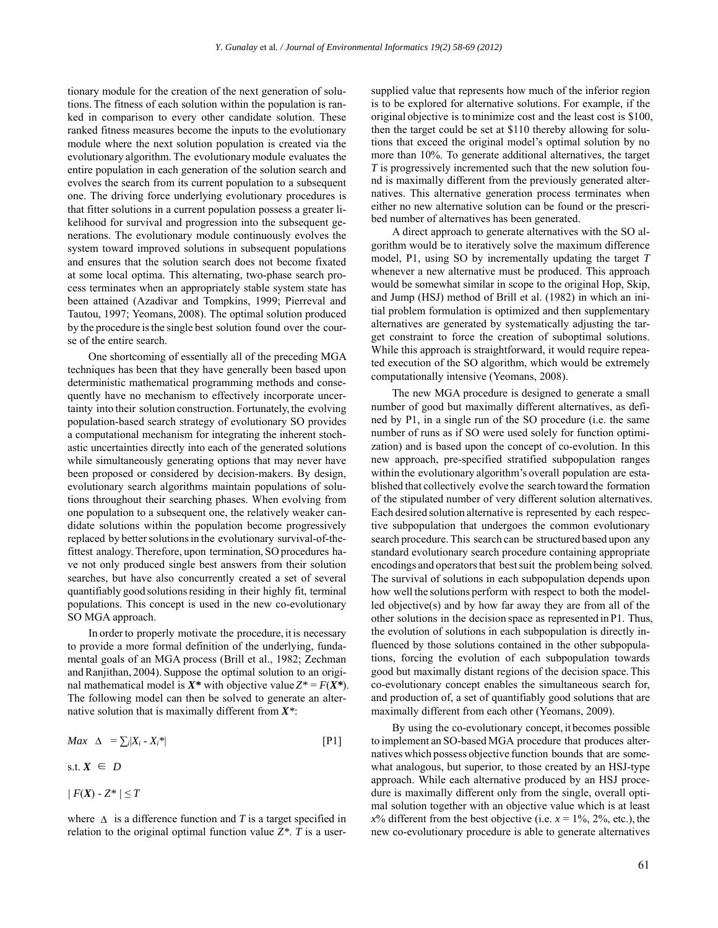tionary module for the creation of the next generation of solutions. The fitness of each solution within the population is ranked in comparison to every other candidate solution. These ranked fitness measures become the inputs to the evolutionary module where the next solution population is created via the evolutionary algorithm. The evolutionary module evaluates the entire population in each generation of the solution search and evolves the search from its current population to a subsequent one. The driving force underlying evolutionary procedures is that fitter solutions in a current population possess a greater likelihood for survival and progression into the subsequent generations. The evolutionary module continuously evolves the system toward improved solutions in subsequent populations and ensures that the solution search does not become fixated at some local optima. This alternating, two-phase search process terminates when an appropriately stable system state has been attained (Azadivar and Tompkins, 1999; Pierreval and Tautou, 1997; Yeomans, 2008). The optimal solution produced by the procedure isthe single best solution found over the course of the entire search.

One shortcoming of essentially all of the preceding MGA techniques has been that they have generally been based upon deterministic mathematical programming methods and consequently have no mechanism to effectively incorporate uncertainty into their solution construction. Fortunately, the evolving population-based search strategy of evolutionary SO provides a computational mechanism for integrating the inherent stochastic uncertainties directly into each of the generated solutions while simultaneously generating options that may never have been proposed or considered by decision-makers. By design, evolutionary search algorithms maintain populations of solutions throughout their searching phases. When evolving from one population to a subsequent one, the relatively weaker candidate solutions within the population become progressively replaced by better solutions in the evolutionary survival-of-thefittest analogy. Therefore, upon termination, SO procedures have not only produced single best answers from their solution searches, but have also concurrently created a set of several quantifiably good solutionsresiding in their highly fit, terminal populations. This concept is used in the new co-evolutionary SO MGA approach.

In order to properly motivate the procedure, it is necessary to provide a more formal definition of the underlying, fundamental goals of an MGA process (Brill et al., 1982; Zechman andRanjithan, 2004). Suppose the optimal solution to an original mathematical model is  $X^*$  with objective value  $Z^* = F(X^*)$ . The following model can then be solved to generate an alternative solution that is maximally different from *X\**:

$$
Max \quad \Delta = \sum_i |X_i - X_i^*| \tag{P1}
$$

s.t.  $X \in D$ 

 $|F(X) - Z^*| \leq T$ 

where  $\Delta$  is a difference function and *T* is a target specified in relation to the original optimal function value *Z\**. *T* is a usersupplied value that represents how much of the inferior region is to be explored for alternative solutions. For example, if the original objective is to minimize cost and the least cost is \$100, then the target could be set at \$110 thereby allowing for solutions that exceed the original model's optimal solution by no more than 10%. To generate additional alternatives, the target *T* is progressively incremented such that the new solution found is maximally different from the previously generated alternatives. This alternative generation process terminates when either no new alternative solution can be found or the prescribed number of alternatives has been generated.

A direct approach to generate alternatives with the SO algorithm would be to iteratively solve the maximum difference model, P1, using SO by incrementally updating the target *T* whenever a new alternative must be produced. This approach would be somewhat similar in scope to the original Hop, Skip, and Jump (HSJ) method of Brill et al. (1982) in which an initial problem formulation is optimized and then supplementary alternatives are generated by systematically adjusting the target constraint to force the creation of suboptimal solutions. While this approach is straightforward, it would require repeated execution of the SO algorithm, which would be extremely computationally intensive (Yeomans, 2008).

The new MGA procedure is designed to generate a small number of good but maximally different alternatives, as defined by P1, in a single run of the SO procedure (i.e. the same number of runs as if SO were used solely for function optimization) and is based upon the concept of co-evolution. In this new approach, pre-specified stratified subpopulation ranges within the evolutionary algorithm's overall population are established that collectively evolve the search toward the formation of the stipulated number of very different solution alternatives. Each desired solution alternative is represented by each respective subpopulation that undergoes the common evolutionary search procedure. This search can be structured based upon any standard evolutionary search procedure containing appropriate encodings and operators that best suit the problem being solved. The survival of solutions in each subpopulation depends upon how well the solutions perform with respect to both the modelled objective(s) and by how far away they are from all of the other solutions in the decision space as represented in P1. Thus, the evolution of solutions in each subpopulation is directly influenced by those solutions contained in the other subpopulations, forcing the evolution of each subpopulation towards good but maximally distant regions of the decision space.This co-evolutionary concept enables the simultaneous search for, and production of, a set of quantifiably good solutions that are maximally different from each other (Yeomans, 2009).

By using the co-evolutionary concept, it becomes possible to implement an SO-based MGA procedure that produces alternatives which possess objective function bounds that are somewhat analogous, but superior, to those created by an HSJ-type approach. While each alternative produced by an HSJ procedure is maximally different only from the single, overall optimal solution together with an objective value which is at least  $x\%$  different from the best objective (i.e.  $x = 1\%$ , 2\%, etc.), the new co-evolutionary procedure is able to generate alternatives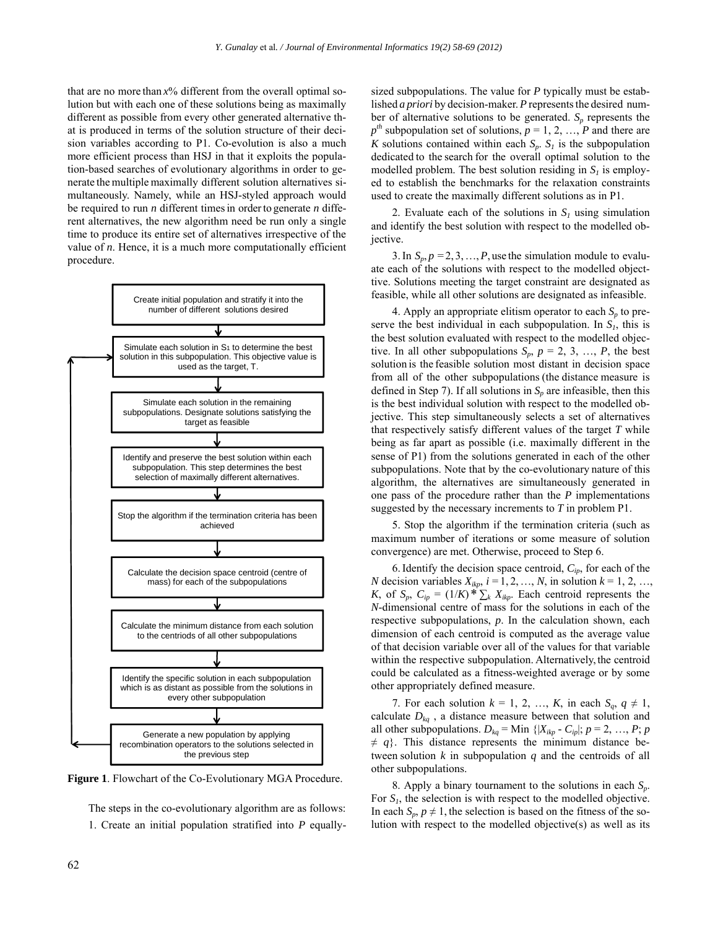that are no more than *x*% different from the overall optimal solution but with each one of these solutions being as maximally different as possible from every other generated alternative that is produced in terms of the solution structure of their decision variables according to P1. Co-evolution is also a much more efficient process than HSJ in that it exploits the population-based searches of evolutionary algorithms in order to generate the multiple maximally different solution alternatives simultaneously. Namely, while an HSJ-styled approach would be required to run *n* different timesin orderto generate *n* different alternatives, the new algorithm need be run only a single time to produce its entire set of alternatives irrespective of the value of *n*. Hence, it is a much more computationally efficient procedure.



**Figure 1**. Flowchart of the Co-Evolutionary MGA Procedure.

The steps in the co-evolutionary algorithm are as follows: 1. Create an initial population stratified into *P* equallysized subpopulations. The value for *P* typically must be established *a priori* by decision-maker. *P* represents the desired number of alternative solutions to be generated.  $S_p$  represents the  $p^{th}$  subpopulation set of solutions,  $p = 1, 2, ..., P$  and there are *K* solutions contained within each  $S_p$ .  $S_l$  is the subpopulation dedicated to the search for the overall optimal solution to the modelled problem. The best solution residing in  $S<sub>1</sub>$  is employed to establish the benchmarks for the relaxation constraints used to create the maximally different solutions as in P1.

2. Evaluate each of the solutions in  $S_l$  using simulation and identify the best solution with respect to the modelled objective.

3. In  $S_p$ ,  $p = 2, 3, \ldots, P$ , use the simulation module to evaluate each of the solutions with respect to the modelled objecttive. Solutions meeting the target constraint are designated as feasible, while all other solutions are designated as infeasible.

4. Apply an appropriate elitism operator to each  $S_n$  to preserve the best individual in each subpopulation. In  $S<sub>1</sub>$ , this is the best solution evaluated with respect to the modelled objective. In all other subpopulations  $S_p$ ,  $p = 2, 3, ..., P$ , the best solution is the feasible solution most distant in decision space from all of the other subpopulations (the distance measure is defined in Step 7). If all solutions in  $S_p$  are infeasible, then this is the best individual solution with respect to the modelled objective. This step simultaneously selects a set of alternatives that respectively satisfy different values of the target *T* while being as far apart as possible (i.e. maximally different in the sense of P1) from the solutions generated in each of the other subpopulations. Note that by the co-evolutionary nature of this algorithm, the alternatives are simultaneously generated in one pass of the procedure rather than the *P* implementations suggested by the necessary increments to *T* in problem P1.

5. Stop the algorithm if the termination criteria (such as maximum number of iterations or some measure of solution convergence) are met. Otherwise, proceed to Step 6.

6. Identify the decision space centroid,  $C_{ip}$ , for each of the *N* decision variables  $X_{ikp}$ ,  $i = 1, 2, ..., N$ , in solution  $k = 1, 2, ...,$ *K*, of  $S_p$ ,  $C_{ip} = (1/K)^* \sum_k X_{ikp}$ . Each centroid represents the *N*-dimensional centre of mass for the solutions in each of the respective subpopulations, *p*. In the calculation shown, each dimension of each centroid is computed as the average value of that decision variable over all of the values for that variable within the respective subpopulation. Alternatively, the centroid could be calculated as a fitness-weighted average or by some other appropriately defined measure.

7. For each solution  $k = 1, 2, ..., K$ , in each  $S_q, q \neq 1$ , calculate  $D_{kq}$ , a distance measure between that solution and all other subpopulations.  $D_{kq} = \text{Min } \{ |X_{ikp} - C_{ip}|; p = 2, ..., P; p \}$  $\neq q$ . This distance represents the minimum distance between solution *k* in subpopulation *q* and the centroids of all other subpopulations.

8. Apply a binary tournament to the solutions in each *Sp*. For  $S<sub>1</sub>$ , the selection is with respect to the modelled objective. In each  $S_p$ ,  $p \neq 1$ , the selection is based on the fitness of the solution with respect to the modelled objective(s) as well as its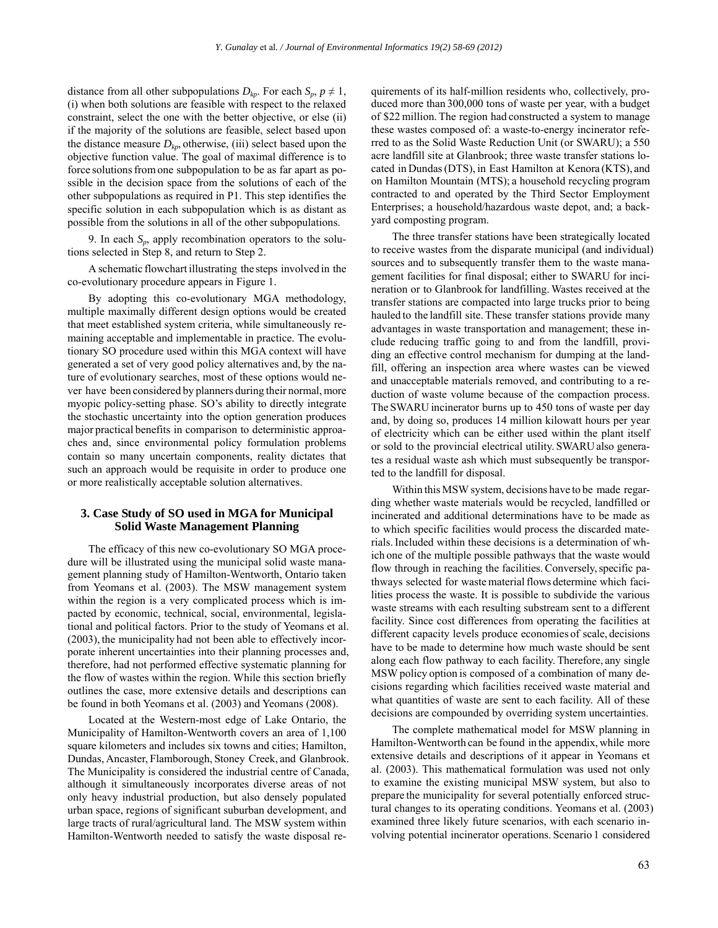distance from all other subpopulations  $D_{kp}$ . For each  $S_p$ ,  $p \neq 1$ , (i) when both solutions are feasible with respect to the relaxed constraint, select the one with the better objective, or else (ii) if the majority of the solutions are feasible, select based upon the distance measure  $D_{kp}$ , otherwise, (iii) select based upon the objective function value. The goal of maximal difference is to force solutions from one subpopulation to be as far apart as possible in the decision space from the solutions of each of the other subpopulations as required in P1. This step identifies the specific solution in each subpopulation which is as distant as possible from the solutions in all of the other subpopulations.

9. In each *Sp*, apply recombination operators to the solutions selected in Step 8, and return to Step 2.

A schematic flowchart illustrating the steps involved in the co-evolutionary procedure appears in Figure 1.

By adopting this co-evolutionary MGA methodology, multiple maximally different design options would be created that meet established system criteria, while simultaneously remaining acceptable and implementable in practice. The evolutionary SO procedure used within this MGA context will have generated a set of very good policy alternatives and, by the nature of evolutionary searches, most of these options would never have been considered by planners during their normal, more myopic policy-setting phase. SO's ability to directly integrate the stochastic uncertainty into the option generation produces major practical benefits in comparison to deterministic approaches and, since environmental policy formulation problems contain so many uncertain components, reality dictates that such an approach would be requisite in order to produce one or more realistically acceptable solution alternatives.

## **3. Case Study of SO used in MGA for Municipal Solid Waste Management Planning**

The efficacy of this new co-evolutionary SO MGA procedure will be illustrated using the municipal solid waste management planning study of Hamilton-Wentworth, Ontario taken from Yeomans et al. (2003). The MSW management system within the region is a very complicated process which is impacted by economic, technical, social, environmental, legislational and political factors. Prior to the study of Yeomans et al. (2003), the municipality had not been able to effectively incorporate inherent uncertainties into their planning processes and, therefore, had not performed effective systematic planning for the flow of wastes within the region. While this section briefly outlines the case, more extensive details and descriptions can be found in both Yeomans et al. (2003) and Yeomans (2008).

Located at the Western-most edge of Lake Ontario, the Municipality of Hamilton-Wentworth covers an area of 1,100 square kilometers and includes six towns and cities; Hamilton, Dundas, Ancaster, Flamborough, Stoney Creek, and Glanbrook. The Municipality is considered the industrial centre of Canada, although it simultaneously incorporates diverse areas of not only heavy industrial production, but also densely populated urban space, regions of significant suburban development, and large tracts of rural/agricultural land. The MSW system within Hamilton-Wentworth needed to satisfy the waste disposal requirements of its half-million residents who, collectively, produced more than 300,000 tons of waste per year, with a budget of \$22 million. The region had constructed a system to manage these wastes composed of: a waste-to-energy incinerator referred to as the Solid Waste Reduction Unit (or SWARU); a 550 acre landfill site at Glanbrook; three waste transfer stations located in Dundas(DTS), in East Hamilton at Kenora (KTS), and on Hamilton Mountain (MTS); a household recycling program contracted to and operated by the Third Sector Employment Enterprises; a household/hazardous waste depot, and; a backyard composting program.

The three transfer stations have been strategically located to receive wastes from the disparate municipal (and individual) sources and to subsequently transfer them to the waste management facilities for final disposal; either to SWARU for incineration or to Glanbrook for landfilling. Wastes received at the transfer stations are compacted into large trucks prior to being hauled to the landfill site. These transfer stations provide many advantages in waste transportation and management; these include reducing traffic going to and from the landfill, providing an effective control mechanism for dumping at the landfill, offering an inspection area where wastes can be viewed and unacceptable materials removed, and contributing to a reduction of waste volume because of the compaction process. The SWARU incinerator burns up to 450 tons of waste per day and, by doing so, produces 14 million kilowatt hours per year of electricity which can be either used within the plant itself or sold to the provincial electrical utility. SWARU also generates a residual waste ash which must subsequently be transported to the landfill for disposal.

Within this MSW system, decisions have to be made regarding whether waste materials would be recycled, landfilled or incinerated and additional determinations have to be made as to which specific facilities would process the discarded materials.Included within these decisions is a determination of which one of the multiple possible pathways that the waste would flow through in reaching the facilities. Conversely, specific pathways selected for waste material flows determine which facilities process the waste. It is possible to subdivide the various waste streams with each resulting substream sent to a different facility. Since cost differences from operating the facilities at different capacity levels produce economies of scale, decisions have to be made to determine how much waste should be sent along each flow pathway to each facility. Therefore, any single MSW policy option is composed of a combination of many decisions regarding which facilities received waste material and what quantities of waste are sent to each facility. All of these decisions are compounded by overriding system uncertainties.

The complete mathematical model for MSW planning in Hamilton-Wentworth can be found in the appendix, while more extensive details and descriptions of it appear in Yeomans et al. (2003). This mathematical formulation was used not only to examine the existing municipal MSW system, but also to prepare the municipality for several potentially enforced structural changes to its operating conditions. Yeomans et al. (2003) examined three likely future scenarios, with each scenario involving potential incinerator operations. Scenario 1 considered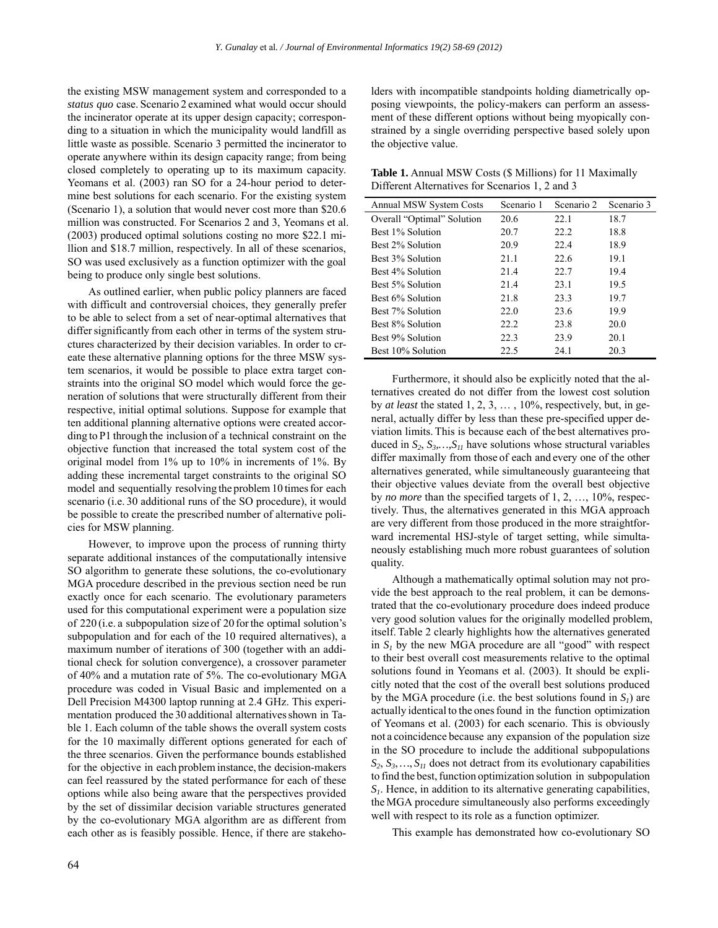the existing MSW management system and corresponded to a *status quo* case. Scenario 2 examined what would occur should the incinerator operate at its upper design capacity; corresponding to a situation in which the municipality would landfill as little waste as possible. Scenario 3 permitted the incinerator to operate anywhere within its design capacity range; from being closed completely to operating up to its maximum capacity. Yeomans et al. (2003) ran SO for a 24-hour period to determine best solutions for each scenario. For the existing system (Scenario 1), a solution that would never cost more than \$20.6 million was constructed. For Scenarios 2 and 3, Yeomans et al. (2003) produced optimal solutions costing no more \$22.1 million and \$18.7 million, respectively. In all of these scenarios, SO was used exclusively as a function optimizer with the goal being to produce only single best solutions.

As outlined earlier, when public policy planners are faced with difficult and controversial choices, they generally prefer to be able to select from a set of near-optimal alternatives that differ significantly from each other in terms of the system structures characterized by their decision variables. In order to create these alternative planning options for the three MSW system scenarios, it would be possible to place extra target constraints into the original SO model which would force the generation of solutions that were structurally different from their respective, initial optimal solutions. Suppose for example that ten additional planning alternative options were created according to P1 through the inclusion of a technical constraint on the objective function that increased the total system cost of the original model from 1% up to 10% in increments of 1%. By adding these incremental target constraints to the original SO model and sequentially resolving the problem 10 times for each scenario (i.e. 30 additional runs of the SO procedure), it would be possible to create the prescribed number of alternative policies for MSW planning.

However, to improve upon the process of running thirty separate additional instances of the computationally intensive SO algorithm to generate these solutions, the co-evolutionary MGA procedure described in the previous section need be run exactly once for each scenario. The evolutionary parameters used for this computational experiment were a population size of 220 (i.e. a subpopulation size of 20 forthe optimal solution's subpopulation and for each of the 10 required alternatives), a maximum number of iterations of 300 (together with an additional check for solution convergence), a crossover parameter of 40% and a mutation rate of 5%. The co-evolutionary MGA procedure was coded in Visual Basic and implemented on a Dell Precision M4300 laptop running at 2.4 GHz. This experimentation produced the 30 additional alternatives shown in Table 1. Each column of the table shows the overall system costs for the 10 maximally different options generated for each of the three scenarios. Given the performance bounds established for the objective in each probleminstance, the decision-makers can feel reassured by the stated performance for each of these options while also being aware that the perspectives provided by the set of dissimilar decision variable structures generated by the co-evolutionary MGA algorithm are as different from each other as is feasibly possible. Hence, if there are stakeholders with incompatible standpoints holding diametrically opposing viewpoints, the policy-makers can perform an assessment of these different options without being myopically constrained by a single overriding perspective based solely upon the objective value.

**Table 1.** Annual MSW Costs (\$ Millions) for 11 Maximally Different Alternatives for Scenarios 1, 2 and 3

| Annual MSW System Costs    | Scenario 1 | Scenario 2 | Scenario 3 |
|----------------------------|------------|------------|------------|
| Overall "Optimal" Solution | 20.6       | 22.1       | 18.7       |
| Best 1% Solution           | 20.7       | 22.2       | 18.8       |
| Best 2% Solution           | 20.9       | 22.4       | 18.9       |
| Best 3% Solution           | 21.1       | 22.6       | 19.1       |
| Best 4% Solution           | 21.4       | 22.7       | 19.4       |
| Best 5% Solution           | 21.4       | 23.1       | 19.5       |
| Best 6% Solution           | 21.8       | 23.3       | 19.7       |
| Best 7% Solution           | 22.0       | 23.6       | 19.9       |
| Best 8% Solution           | 22.2       | 23.8       | 20.0       |
| Best 9% Solution           | 22.3       | 23.9       | 20.1       |
| Best 10% Solution          | 22.5       | 24.1       | 20.3       |

Furthermore, it should also be explicitly noted that the alternatives created do not differ from the lowest cost solution by *at least* the stated 1, 2, 3, … , 10%, respectively, but, in general, actually differ by less than these pre-specified upper deviation limits. This is because each of the best alternatives produced in  $S_2$ ,  $S_3$ , ...,  $S_{11}$  have solutions whose structural variables differ maximally from those of each and every one of the other alternatives generated, while simultaneously guaranteeing that their objective values deviate from the overall best objective by *no more* than the specified targets of 1, 2, …, 10%, respectively. Thus, the alternatives generated in this MGA approach are very different from those produced in the more straightforward incremental HSJ-style of target setting, while simultaneously establishing much more robust guarantees of solution quality.

Although a mathematically optimal solution may not provide the best approach to the real problem, it can be demonstrated that the co-evolutionary procedure does indeed produce very good solution values for the originally modelled problem, itself. Table 2 clearly highlights how the alternatives generated in  $S_l$  by the new MGA procedure are all "good" with respect to their best overall cost measurements relative to the optimal solutions found in Yeomans et al. (2003). It should be explicitly noted that the cost of the overall best solutions produced by the MGA procedure (i.e. the best solutions found in  $S_l$ ) are actually identical to the onesfound in the function optimization of Yeomans et al. (2003) for each scenario. This is obviously not a coincidence because any expansion of the population size in the SO procedure to include the additional subpopulations  $S_2, S_3, \ldots, S_{11}$  does not detract from its evolutionary capabilities to find the best, function optimization solution in subpopulation  $S<sub>1</sub>$ . Hence, in addition to its alternative generating capabilities, the MGA procedure simultaneously also performs exceedingly well with respect to its role as a function optimizer.

This example has demonstrated how co-evolutionary SO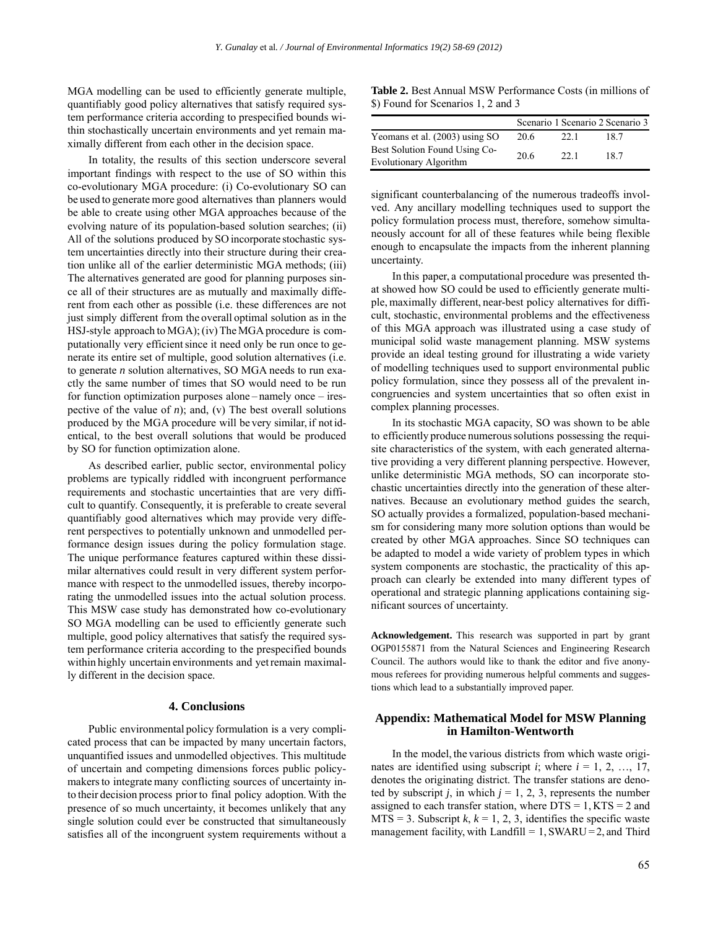MGA modelling can be used to efficiently generate multiple, quantifiably good policy alternatives that satisfy required system performance criteria according to prespecified bounds within stochastically uncertain environments and yet remain maximally different from each other in the decision space.

In totality, the results of this section underscore several important findings with respect to the use of SO within this co-evolutionary MGA procedure: (i) Co-evolutionary SO can be used to generate more good alternatives than planners would be able to create using other MGA approaches because of the evolving nature of its population-based solution searches; (ii) All of the solutions produced by SO incorporate stochastic system uncertainties directly into their structure during their creation unlike all of the earlier deterministic MGA methods; (iii) The alternatives generated are good for planning purposes since all of their structures are as mutually and maximally different from each other as possible (i.e. these differences are not just simply different from the overall optimal solution as in the HSJ-style approach to MGA);(iv)TheMGA procedure is computationally very efficientsince it need only be run once to generate its entire set of multiple, good solution alternatives (i.e. to generate *n* solution alternatives, SO MGA needs to run exactly the same number of times that SO would need to be run for function optimization purposes alone – namely once – irespective of the value of  $n$ ); and, (v) The best overall solutions produced by the MGA procedure will be very similar, if not identical, to the best overall solutions that would be produced by SO for function optimization alone.

As described earlier, public sector, environmental policy problems are typically riddled with incongruent performance requirements and stochastic uncertainties that are very difficult to quantify. Consequently, it is preferable to create several quantifiably good alternatives which may provide very different perspectives to potentially unknown and unmodelled performance design issues during the policy formulation stage. The unique performance features captured within these dissimilar alternatives could result in very different system performance with respect to the unmodelled issues, thereby incorporating the unmodelled issues into the actual solution process. This MSW case study has demonstrated how co-evolutionary SO MGA modelling can be used to efficiently generate such multiple, good policy alternatives that satisfy the required system performance criteria according to the prespecified bounds within highly uncertain environments and yetremain maximally different in the decision space.

#### **4. Conclusions**

Public environmental policy formulation is a very complicated process that can be impacted by many uncertain factors, unquantified issues and unmodelled objectives. This multitude of uncertain and competing dimensions forces public policymakers to integrate many conflicting sources of uncertainty into their decision process priorto final policy adoption.With the presence of so much uncertainty, it becomes unlikely that any single solution could ever be constructed that simultaneously satisfies all of the incongruent system requirements without a

**Table 2.** Best Annual MSW Performance Costs (in millions of \$) Found for Scenarios 1, 2 and 3

|                                                         |      |      | Scenario 1 Scenario 2 Scenario 3 |
|---------------------------------------------------------|------|------|----------------------------------|
| Yeomans et al. (2003) using SO                          | 20.6 | 22.1 | 18 7                             |
| Best Solution Found Using Co-<br>Evolutionary Algorithm | 20.6 | 22.1 | 18.7                             |

significant counterbalancing of the numerous tradeoffs involved. Any ancillary modelling techniques used to support the policy formulation process must, therefore, somehow simultaneously account for all of these features while being flexible enough to encapsulate the impacts from the inherent planning uncertainty.

In this paper, a computational procedure was presented that showed how SO could be used to efficiently generate multiple, maximally different, near-best policy alternatives for difficult, stochastic, environmental problems and the effectiveness of this MGA approach was illustrated using a case study of municipal solid waste management planning. MSW systems provide an ideal testing ground for illustrating a wide variety of modelling techniques used to support environmental public policy formulation, since they possess all of the prevalent incongruencies and system uncertainties that so often exist in complex planning processes.

In its stochastic MGA capacity, SO was shown to be able to efficiently produce numeroussolutions possessing the requisite characteristics of the system, with each generated alternative providing a very different planning perspective. However, unlike deterministic MGA methods, SO can incorporate stochastic uncertainties directly into the generation of these alternatives. Because an evolutionary method guides the search, SO actually provides a formalized, population-based mechanism for considering many more solution options than would be created by other MGA approaches. Since SO techniques can be adapted to model a wide variety of problem types in which system components are stochastic, the practicality of this approach can clearly be extended into many different types of operational and strategic planning applications containing significant sources of uncertainty.

**Acknowledgement.** This research was supported in part by grant OGP0155871 from the Natural Sciences and Engineering Research Council. The authors would like to thank the editor and five anonymous referees for providing numerous helpful comments and suggestions which lead to a substantially improved paper.

## **Appendix: Mathematical Model for MSW Planning in Hamilton-Wentworth**

In the model, the various districts from which waste originates are identified using subscript *i*; where  $i = 1, 2, ..., 17$ , denotes the originating district. The transfer stations are denoted by subscript *j*, in which  $j = 1, 2, 3$ , represents the number assigned to each transfer station, where  $DTS = 1, KTS = 2$  and  $MTS = 3$ . Subscript *k*,  $k = 1, 2, 3$ , identifies the specific waste management facility, with Landfill =  $1$ , SWARU =  $2$ , and Third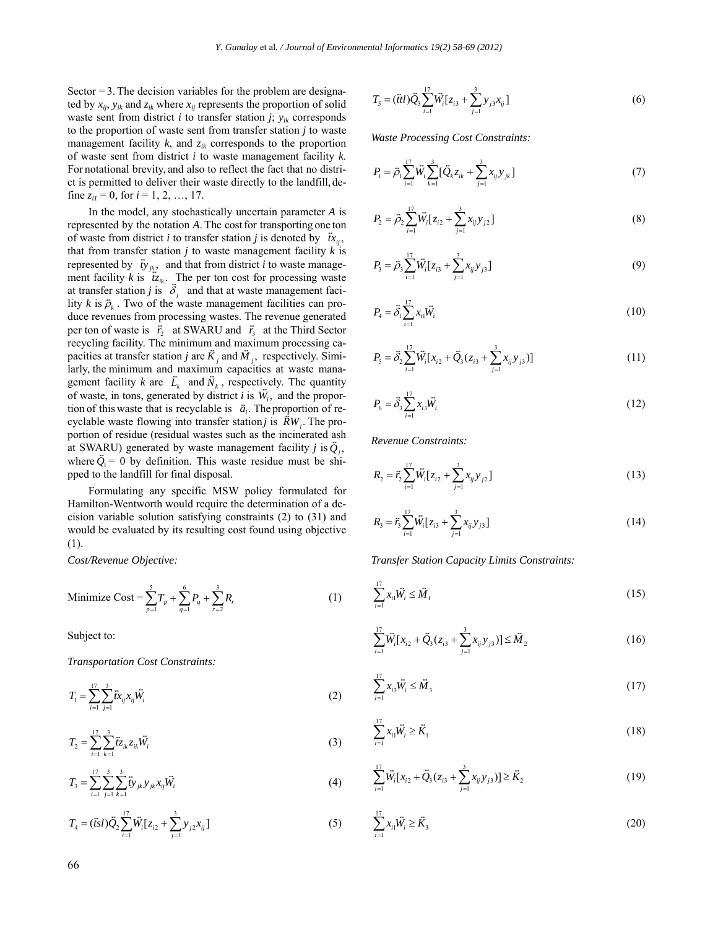Sector  $= 3$ . The decision variables for the problem are designated by  $x_{ij}$ ,  $y_{ik}$  and  $z_{ik}$  where  $x_{ij}$  represents the proportion of solid waste sent from district *i* to transfer station *j*;  $y_{ik}$  corresponds to the proportion of waste sent from transfer station *j* to waste management facility  $k$ , and  $z_{ik}$  corresponds to the proportion of waste sent from district *i* to waste management facility *k*. For notational brevity, and also to reflect the fact that no district is permitted to deliver their waste directly to the landfill, define  $z_{il} = 0$ , for  $i = 1, 2, ..., 17$ .

In the model, any stochastically uncertain parameter *A* is represented by the notation *A*. The costfor transporting one ton of waste from district *i* to transfer station *j* is denoted by  $\ddot{x}_{ii}$ , that from transfer station  $j$  to waste management facility  $k$  is represented by  $\dot{r}_{y_{jk}}$ , and that from district *i* to waste managerepresented by  $v_{jk}$  and that from district t to waste management facility k is  $t_{\bar{k}k}$ . The per ton cost for processing waste ment ractity  $k$  is  $tz_{ik}$ . The per ton cost for processing waste<br>at transfer station *j* is  $\overline{\delta}_i$  and that at waste management faciat datistic station *f* is  $b_j$  and that at waste management facilities can pro-<br>lity *k* is  $\tilde{p}_k$ . Two of the waste management facilities can produce revenues from processing wastes. The revenue generated per ton of waste is  $\vec{r}_2$  at SWARU and  $\vec{r}_3$  at the Third Sector recycling facility. The minimum and maximum processing capacities at transfer station *j* are  $\vec{K}_j$  and  $\vec{M}_j$ , respectively. Similarly, the minimum and maximum capacities at waste manaariy, the minimum and maximum capacities at waste mana-<br>gement facility *k* are  $\ddot{L}_k$  and  $\ddot{N}_k$ , respectively. The quantity gement ractity *k* are  $L_k$  and  $N_k$ , respectively. The quantity of waste, in tons, generated by district *i* is  $\tilde{W}_i$ , and the proportion of this waste that is recyclable is  $\vec{a}_i$ . The proportion of retion of this waste that is recyclable is  $a_i$ . The proportion of recyclable waste flowing into transfer station *j* is  $\overline{R}W_j$ . The proportion of residue (residual wastes such as the incinerated ash at SWARU) generated by waste management facility *j* is  $\ddot{\theta}$ . at SWARU) generated by waste management facility  $J$  is  $Q_j$ ,<br>where  $\tilde{Q}_1 = 0$  by definition. This waste residue must be shipped to the landfill for final disposal.

Formulating any specific MSW policy formulated for Hamilton-Wentworth would require the determination of a decision variable solution satisfying constraints (2) to (31) and would be evaluated by its resulting cost found using objective (1).

*Cost/Revenue Objective:* 

Minimize Cost = 
$$
\sum_{p=1}^{5} T_p + \sum_{q=1}^{6} P_q + \sum_{r=2}^{3} R_r
$$
 (1)

Subject to:

*Transportation Cost Constraints:* 

$$
T_1 = \sum_{i=1}^{17} \sum_{j=1}^{3} \tilde{t} x_{ij} x_{ij} \tilde{W}_i
$$
 (2)

$$
T_2 = \sum_{i=1}^{17} \sum_{k=1}^{3} \tilde{t} z_{ik} z_{ik} \tilde{W}_i
$$
 (3)

$$
T_3 = \sum_{i=1}^{17} \sum_{j=1}^{3} \sum_{k=1}^{3} \tilde{t} y_{jk} y_{jk} x_{ij} \tilde{W}_i
$$
 (4)

$$
T_4 = (\vec{t}sl)\tilde{Q}_2 \sum_{i=1}^{17} \tilde{W}_i [z_{i2} + \sum_{j=1}^{3} y_{j2} x_{ij}]
$$
 (5)

$$
T_{5} = (\ddot{t} \dot{t}) \ddot{Q}_{3} \sum_{i=1}^{17} \ddot{W}_{i} [z_{i3} + \sum_{j=1}^{3} y_{j3} x_{ij}]
$$
 (6)

*Waste Processing Cost Constraints:*

$$
P_1 = \bar{\rho}_1 \sum_{i=1}^{17} \bar{W}_i \sum_{k=1}^{3} [\bar{Q}_k z_{ik} + \sum_{j=1}^{3} x_{ij} y_{jk}]
$$
 (7)

$$
P_2 = \vec{\rho}_2 \sum_{i=1}^{17} \vec{W}_i [z_{i2} + \sum_{j=1}^{3} x_{ij} y_{j2}]
$$
 (8)

$$
P_3 = \vec{\rho}_3 \sum_{i=1}^{17} \vec{W}_i [z_{i3} + \sum_{j=1}^3 x_{ij} y_{j3}]
$$
\n(9)

$$
P_4 = \tilde{\delta}_1 \sum_{i=1}^{17} x_{i1} \tilde{W}_i
$$
 (10)

$$
P_5 = \vec{\delta}_2 \sum_{i=1}^{17} \vec{W}_i [x_{i2} + \vec{Q}_3 (z_{i3} + \sum_{j=1}^{3} x_{ij} y_{j3})]
$$
(11)

$$
P_6 = \vec{\delta}_3 \sum_{i=1}^{17} x_{i3} \vec{W}_i
$$
 (12)

*Revenue Constraints:*

$$
R_2 = \ddot{r}_2 \sum_{i=1}^{17} \ddot{W}_i [z_{i2} + \sum_{j=1}^3 x_{ij} y_{j2}]
$$
 (13)

$$
R_3 = \vec{r}_3 \sum_{i=1}^{17} \vec{W}_i [z_{i3} + \sum_{j=1}^{3} x_{ij} y_{j3}]
$$
 (14)

*Transfer Station Capacity Limits Constraints:*

$$
\sum_{i=1}^{17} x_{i1} \ddot{W}_i \le \ddot{M}_1
$$
 (15)

$$
\sum_{i=1}^{17} \tilde{W}_i [x_{i2} + \tilde{Q}_3 (z_{i3} + \sum_{j=1}^{3} x_{ij} y_{j3})] \leq \tilde{M}_2
$$
\n(16)

$$
\sum_{i=1}^{17} x_{i3} \ddot{W}_i \le \ddot{M}_3 \tag{17}
$$

$$
\sum_{i=1}^{17} x_{i1} \ddot{W}_i \ge \ddot{K}_1
$$
 (18)

$$
\sum_{i=1}^{17} \ddot{W}_i [x_{i2} + \ddot{Q}_3 (z_{i3} + \sum_{j=1}^3 x_{ij} y_{j3})] \ge \ddot{K}_2
$$
\n(19)

$$
\sum_{i=1}^{17} x_{i1} \ddot{W}_i \ge \ddot{K}_3
$$
 (20)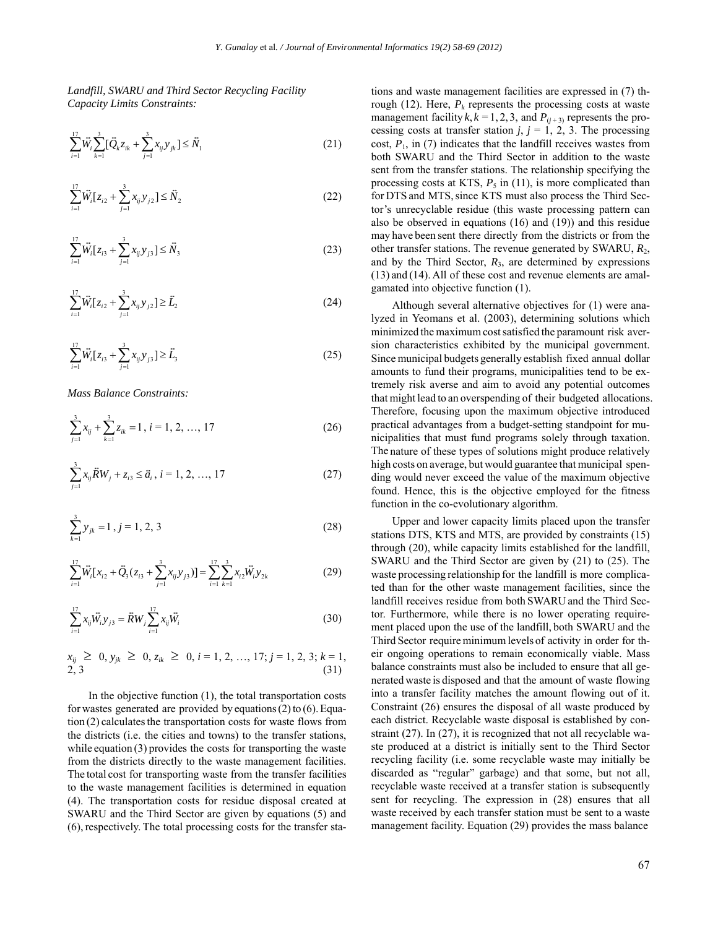*Landfill, SWARU and Third Sector Recycling Facility Capacity Limits Constraints:*

$$
\sum_{i=1}^{17} \ddot{W}_i \sum_{k=1}^{3} [\ddot{Q}_k z_{ik} + \sum_{j=1}^{3} x_{ij} y_{jk}] \le \ddot{N}_1
$$
 (21)

$$
\sum_{i=1}^{17} \ddot{W}_i \left[ z_{i2} + \sum_{j=1}^3 x_{ij} y_{j2} \right] \le \ddot{N}_2 \tag{22}
$$

$$
\sum_{i=1}^{17} \ddot{W}_i \big[z_{i3} + \sum_{j=1}^{3} x_{ij} y_{j3}\big] \le \ddot{N}_3
$$
\n(23)

$$
\sum_{i=1}^{17} \ddot{W}_i [z_{i2} + \sum_{j=1}^{3} x_{ij} y_{j2}] \ge \ddot{L}_2
$$
 (24)

$$
\sum_{i=1}^{17} \ddot{W}_i [z_{i3} + \sum_{j=1}^{3} x_{ij} y_{j3}] \ge \ddot{L}_3
$$
 (25)

*Mass Balance Constraints:*

$$
\sum_{j=1}^{3} x_{ij} + \sum_{k=1}^{3} z_{ik} = 1, i = 1, 2, ..., 17
$$
 (26)

$$
\sum_{j=1}^{3} x_{ij} \ddot{R} W_j + z_{i3} \le \ddot{a}_i, i = 1, 2, ..., 17
$$
 (27)

$$
\sum_{k=1}^{3} y_{jk} = 1, j = 1, 2, 3
$$
 (28)

$$
\sum_{i=1}^{17} \ddot{W}_i [x_{i2} + \ddot{Q}_3 (z_{i3} + \sum_{j=1}^3 x_{ij} y_{j3})] = \sum_{i=1}^{17} \sum_{k=1}^3 x_{i2} \ddot{W}_i y_{2k}
$$
(29)

$$
\sum_{i=1}^{17} x_{ij} \ddot{W_i} y_{j3} = \ddot{R} W_j \sum_{i=1}^{17} x_{ij} \ddot{W_i}
$$
 (30)

$$
x_{ij} \geq 0, y_{jk} \geq 0, z_{ik} \geq 0, i = 1, 2, ..., 17; j = 1, 2, 3; k = 1, 2, 3
$$
\n(31)

In the objective function (1), the total transportation costs for wastes generated are provided by equations  $(2)$  to  $(6)$ . Equation (2) calculates the transportation costs for waste flows from the districts (i.e. the cities and towns) to the transfer stations, while equation (3) provides the costs for transporting the waste from the districts directly to the waste management facilities. The total cost for transporting waste from the transfer facilities to the waste management facilities is determined in equation (4). The transportation costs for residue disposal created at SWARU and the Third Sector are given by equations (5) and (6),respectively. The total processing costs for the transfer stations and waste management facilities are expressed in (7) through (12). Here,  $P_k$  represents the processing costs at waste management facility  $k$ ,  $k = 1, 2, 3$ , and  $P_{(j+3)}$  represents the processing costs at transfer station  $j, j = 1, 2, 3$ . The processing cost,  $P_1$ , in (7) indicates that the landfill receives wastes from both SWARU and the Third Sector in addition to the waste sent from the transfer stations. The relationship specifying the processing costs at KTS,  $P_5$  in (11), is more complicated than for DTS and MTS, since KTS must also process the Third Sector's unrecyclable residue (this waste processing pattern can also be observed in equations (16) and (19)) and this residue may have been sent there directly from the districts or from the other transfer stations. The revenue generated by SWARU, *R*2, and by the Third Sector,  $R_3$ , are determined by expressions (13) and (14). All of these cost and revenue elements are amalgamated into objective function (1).

Although several alternative objectives for (1) were analyzed in Yeomans et al. (2003), determining solutions which minimized the maximumcostsatisfied the paramount risk aversion characteristics exhibited by the municipal government. Since municipal budgets generally establish fixed annual dollar amounts to fund their programs, municipalities tend to be extremely risk averse and aim to avoid any potential outcomes that might lead to an overspending of their budgeted allocations. Therefore, focusing upon the maximum objective introduced practical advantages from a budget-setting standpoint for municipalities that must fund programs solely through taxation. The nature of these types of solutions might produce relatively high costs on average, but would guarantee that municipal spending would never exceed the value of the maximum objective found. Hence, this is the objective employed for the fitness function in the co-evolutionary algorithm.

Upper and lower capacity limits placed upon the transfer stations DTS, KTS and MTS, are provided by constraints (15) through (20), while capacity limits established for the landfill, SWARU and the Third Sector are given by (21) to (25). The waste processing relationship for the landfill is more complicated than for the other waste management facilities, since the landfill receives residue from both SWARU and the Third Sector. Furthermore, while there is no lower operating requirement placed upon the use of the landfill, both SWARU and the Third Sector require minimum levels of activity in order for their ongoing operations to remain economically viable. Mass balance constraints must also be included to ensure that all generated waste is disposed and that the amount of waste flowing into a transfer facility matches the amount flowing out of it. Constraint (26) ensures the disposal of all waste produced by each district. Recyclable waste disposal is established by constraint (27). In (27), it is recognized that not all recyclable waste produced at a district is initially sent to the Third Sector recycling facility (i.e. some recyclable waste may initially be discarded as "regular" garbage) and that some, but not all, recyclable waste received at a transfer station is subsequently sent for recycling. The expression in (28) ensures that all waste received by each transfer station must be sent to a waste management facility. Equation (29) provides the mass balance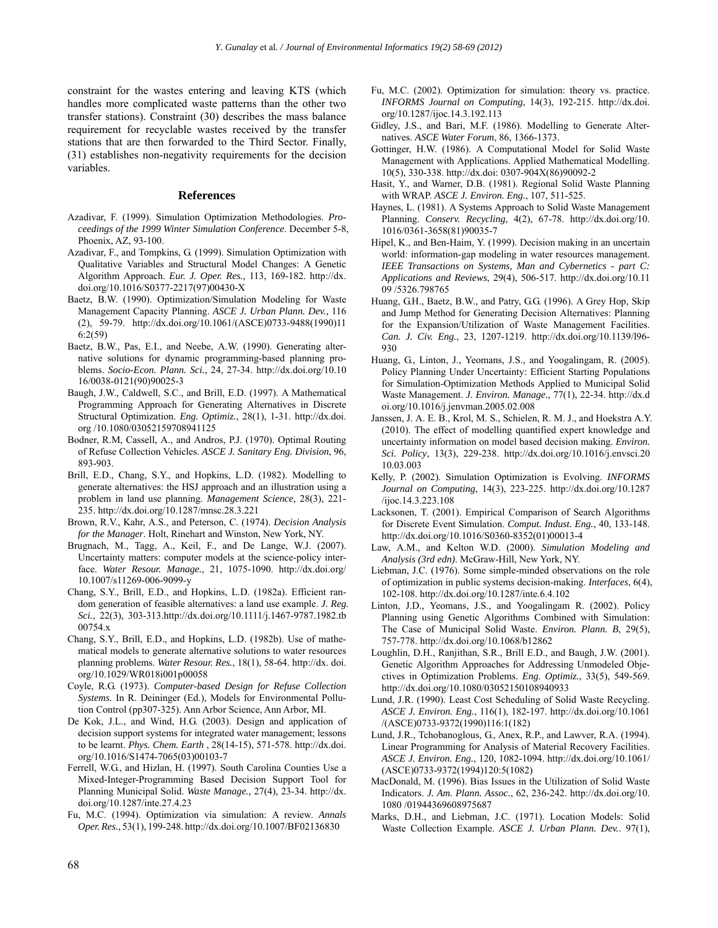constraint for the wastes entering and leaving KTS (which handles more complicated waste patterns than the other two transfer stations). Constraint (30) describes the mass balance requirement for recyclable wastes received by the transfer stations that are then forwarded to the Third Sector. Finally, (31) establishes non-negativity requirements for the decision variables.

#### **References**

- Azadivar, F. (1999). Simulation Optimization Methodologies. *Proceedings of the 1999 Winter Simulation Conference*. December 5-8, Phoenix, AZ, 93-100.
- Azadivar, F., and Tompkins, G. (1999). Simulation Optimization with Qualitative Variables and Structural Model Changes: A Genetic Algorithm Approach. *Eur. J. Oper. Res.,* 113, 169-182. http://dx. doi.org/10.1016/S0377-2217(97)00430-X
- Baetz, B.W. (1990). Optimization/Simulation Modeling for Waste Management Capacity Planning. *ASCE J. Urban Plann. Dev.*, 116 (2), 59-79. http://dx.doi.org/10.1061/(ASCE)0733-9488(1990)11 6:2(59)
- Baetz, B.W., Pas, E.I., and Neebe, A.W. (1990). Generating alternative solutions for dynamic programming-based planning problems. *Socio-Econ. Plann. Sci.*, 24, 27-34. http://dx.doi.org/10.10 16/0038-0121(90)90025-3
- Baugh, J.W., Caldwell, S.C., and Brill, E.D. (1997). A Mathematical Programming Approach for Generating Alternatives in Discrete Structural Optimization. *Eng. Optimiz.*, 28(1), 1-31. http://dx.doi. org /10.1080/03052159708941125
- Bodner, R.M, Cassell, A., and Andros, P.J. (1970). Optimal Routing of Refuse Collection Vehicles. *ASCE J. Sanitary Eng. Division*, 96, 893-903.
- Brill, E.D., Chang, S.Y., and Hopkins, L.D. (1982). Modelling to generate alternatives: the HSJ approach and an illustration using a problem in land use planning. *Management Science*, 28(3), 221- 235. http://dx.doi.org/10.1287/mnsc.28.3.221
- Brown, R.V., Kahr, A.S., and Peterson, C. (1974). *Decision Analysis for the Manager*. Holt, Rinehart and Winston, New York, NY.
- Brugnach, M., Tagg, A., Keil, F., and De Lange, W.J. (2007). Uncertainty matters: computer models at the science-policy interface. *Water Resour. Manage.*, 21, 1075-1090. http://dx.doi.org/ 10.1007/s11269-006-9099-y
- Chang, S.Y., Brill, E.D., and Hopkins, L.D. (1982a). Efficient random generation of feasible alternatives: a land use example. *J. Reg. Sci.*, 22(3), 303-313.http://dx.doi.org/10.1111/j.1467-9787.1982.tb 00754.x
- Chang, S.Y., Brill, E.D., and Hopkins, L.D. (1982b). Use of mathematical models to generate alternative solutions to water resources planning problems. *Water Resour. Res.*, 18(1), 58-64. http://dx. doi. org/10.1029/WR018i001p00058
- Coyle, R.G. (1973). *Computer-based Design for Refuse Collection Systems.* In R. Deininger (Ed.), Models for Environmental Pollution Control (pp307-325). Ann Arbor Science, Ann Arbor, MI.
- De Kok, J.L., and Wind, H.G. (2003). Design and application of decision support systems for integrated water management; lessons to be learnt. *Phys. Chem. Earth* , 28(14-15), 571-578. http://dx.doi. org/10.1016/S1474-7065(03)00103-7
- Ferrell, W.G., and Hizlan, H. (1997). South Carolina Counties Use a Mixed-Integer-Programming Based Decision Support Tool for Planning Municipal Solid. *Waste Manage.,* 27(4), 23-34. http://dx. doi.org/10.1287/inte.27.4.23
- Fu, M.C. (1994). Optimization via simulation: A review. *Annals Oper.Res.*, 53(1), 199-248. http://dx.doi.org/10.1007/BF02136830
- Fu, M.C. (2002). Optimization for simulation: theory vs. practice. *INFORMS Journal on Computing*, 14(3), 192-215. http://dx.doi. org/10.1287/ijoc.14.3.192.113
- Gidley, J.S., and Bari, M.F. (1986). Modelling to Generate Alternatives. *ASCE Water Forum*, 86, 1366-1373.
- Gottinger, H.W. (1986). A Computational Model for Solid Waste Management with Applications. Applied Mathematical Modelling. 10(5), 330-338. http://dx.doi: 0307-904X(86)90092-2
- Hasit, Y., and Warner, D.B. (1981). Regional Solid Waste Planning with WRAP. *ASCE J. Environ. Eng.*, 107, 511-525.
- Haynes, L. (1981). A Systems Approach to Solid Waste Management Planning. *Conserv. Recycling*, 4(2), 67-78. http://dx.doi.org/10. 1016/0361-3658(81)90035-7
- Hipel, K., and Ben-Haim, Y. (1999). Decision making in an uncertain world: information-gap modeling in water resources management. *IEEE Transactions on Systems, Man and Cybernetics - part C: Applications and Reviews*, 29(4), 506-517. http://dx.doi.org/10.11 09 /5326.798765
- Huang, G.H., Baetz, B.W., and Patry, G.G. (1996). A Grey Hop, Skip and Jump Method for Generating Decision Alternatives: Planning for the Expansion/Utilization of Waste Management Facilities. *Can. J. Civ. Eng.*, 23, 1207-1219. http://dx.doi.org/10.1139/l96- 930
- Huang, G., Linton, J., Yeomans, J.S., and Yoogalingam, R. (2005). Policy Planning Under Uncertainty: Efficient Starting Populations for Simulation-Optimization Methods Applied to Municipal Solid Waste Management. *J. Environ. Manage.*, 77(1), 22-34. http://dx.d oi.org/10.1016/j.jenvman.2005.02.008
- Janssen, J. A. E. B., Krol, M. S., Schielen, R. M. J., and Hoekstra A.Y. (2010). The effect of modelling quantified expert knowledge and uncertainty information on model based decision making. *Environ. Sci. Policy*, 13(3), 229-238. http://dx.doi.org/10.1016/j.envsci.20 10.03.003
- Kelly, P. (2002). Simulation Optimization is Evolving. *INFORMS Journal on Computing*, 14(3), 223-225. http://dx.doi.org/10.1287 /ijoc.14.3.223.108
- Lacksonen, T. (2001). Empirical Comparison of Search Algorithms for Discrete Event Simulation. *Comput. Indust. Eng.*, 40, 133-148. http://dx.doi.org/10.1016/S0360-8352(01)00013-4
- Law, A.M., and Kelton W.D. (2000). *Simulation Modeling and Analysis (3rd edn)*. McGraw-Hill, New York, NY.
- Liebman, J.C. (1976). Some simple-minded observations on the role of optimization in public systems decision-making. *Interfaces*, 6(4), 102-108. http://dx.doi.org/10.1287/inte.6.4.102
- Linton, J.D., Yeomans, J.S., and Yoogalingam R. (2002). Policy Planning using Genetic Algorithms Combined with Simulation: The Case of Municipal Solid Waste. *Environ. Plann. B*, 29(5), 757-778. http://dx.doi.org/10.1068/b12862
- Loughlin, D.H., Ranjithan, S.R., Brill E.D., and Baugh, J.W. (2001). Genetic Algorithm Approaches for Addressing Unmodeled Objectives in Optimization Problems. *Eng. Optimiz.*, 33(5), 549-569. http://dx.doi.org/10.1080/03052150108940933
- Lund, J.R. (1990). Least Cost Scheduling of Solid Waste Recycling. *ASCE J. Environ. Eng.*, 116(1), 182-197. http://dx.doi.org/10.1061 /(ASCE)0733-9372(1990)116:1(182)
- Lund, J.R., Tchobanoglous, G., Anex, R.P., and Lawver, R.A. (1994). Linear Programming for Analysis of Material Recovery Facilities. *ASCE J. Environ. Eng.*, 120, 1082-1094. http://dx.doi.org/10.1061/ (ASCE)0733-9372(1994)120:5(1082)
- MacDonald, M. (1996). Bias Issues in the Utilization of Solid Waste Indicators. *J. Am. Plann. Assoc.*, 62, 236-242. http://dx.doi.org/10. 1080 /01944369608975687
- Marks, D.H., and Liebman, J.C. (1971). Location Models: Solid Waste Collection Example. *ASCE J. Urban Plann. Dev.*. 97(1),